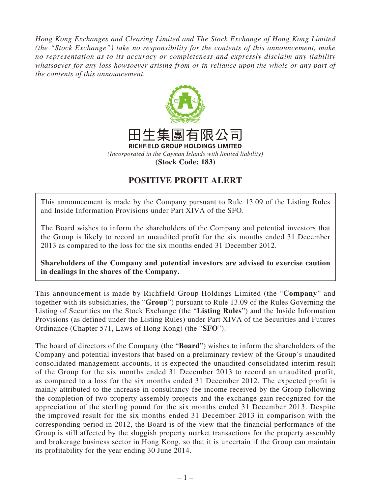*Hong Kong Exchanges and Clearing Limited and The Stock Exchange of Hong Kong Limited (the "Stock Exchange") take no responsibility for the contents of this announcement, make no representation as to its accuracy or completeness and expressly disclaim any liability whatsoever for any loss howsoever arising from or in reliance upon the whole or any part of the contents of this announcement.*



## **POSITIVE PROFIT ALERT**

This announcement is made by the Company pursuant to Rule 13.09 of the Listing Rules and Inside Information Provisions under Part XIVA of the SFO.

The Board wishes to inform the shareholders of the Company and potential investors that the Group is likely to record an unaudited profit for the six months ended 31 December 2013 as compared to the loss for the six months ended 31 December 2012.

**Shareholders of the Company and potential investors are advised to exercise caution in dealings in the shares of the Company.**

This announcement is made by Richfield Group Holdings Limited (the "**Company**" and together with its subsidiaries, the "**Group**") pursuant to Rule 13.09 of the Rules Governing the Listing of Securities on the Stock Exchange (the "**Listing Rules**") and the Inside Information Provisions (as defined under the Listing Rules) under Part XIVA of the Securities and Futures Ordinance (Chapter 571, Laws of Hong Kong) (the "**SFO**").

The board of directors of the Company (the "**Board**") wishes to inform the shareholders of the Company and potential investors that based on a preliminary review of the Group's unaudited consolidated management accounts, it is expected the unaudited consolidated interim result of the Group for the six months ended 31 December 2013 to record an unaudited profit, as compared to a loss for the six months ended 31 December 2012. The expected profit is mainly attributed to the increase in consultancy fee income received by the Group following the completion of two property assembly projects and the exchange gain recognized for the appreciation of the sterling pound for the six months ended 31 December 2013. Despite the improved result for the six months ended 31 December 2013 in comparison with the corresponding period in 2012, the Board is of the view that the financial performance of the Group is still affected by the sluggish property market transactions for the property assembly and brokerage business sector in Hong Kong, so that it is uncertain if the Group can maintain its profitability for the year ending 30 June 2014.